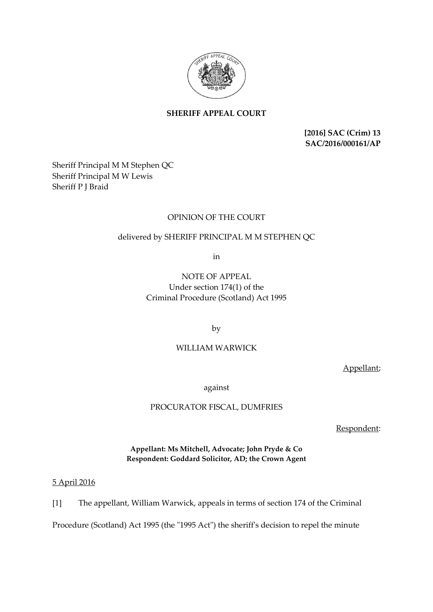

# **SHERIFF APPEAL COURT**

**[2016] SAC (Crim) 13 SAC/2016/000161/AP**

Sheriff Principal M M Stephen QC Sheriff Principal M W Lewis Sheriff P J Braid

## OPINION OF THE COURT

# delivered by SHERIFF PRINCIPAL M M STEPHEN QC

in

NOTE OF APPEAL Under section 174(1) of the Criminal Procedure (Scotland) Act 1995

by

## WILLIAM WARWICK

Appellant;

against

PROCURATOR FISCAL, DUMFRIES

Respondent:

**Appellant: Ms Mitchell, Advocate; John Pryde & Co Respondent: Goddard Solicitor, AD; the Crown Agent**

5 April 2016

[1] The appellant, William Warwick, appeals in terms of section 174 of the Criminal

Procedure (Scotland) Act 1995 (the "1995 Act") the sheriff's decision to repel the minute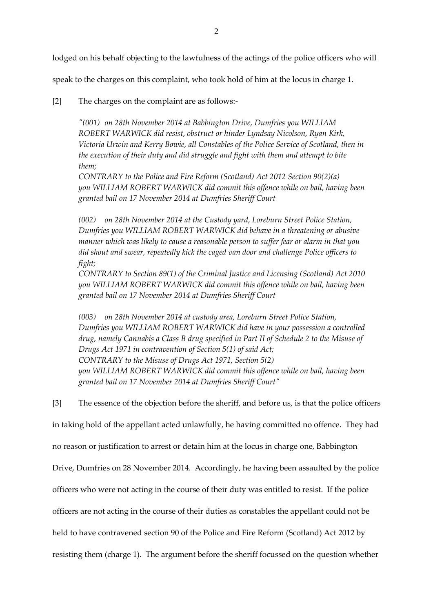lodged on his behalf objecting to the lawfulness of the actings of the police officers who will

speak to the charges on this complaint, who took hold of him at the locus in charge 1.

[2] The charges on the complaint are as follows:-

*"(001) on 28th November 2014 at Babbington Drive, Dumfries you WILLIAM ROBERT WARWICK did resist, obstruct or hinder Lyndsay Nicolson, Ryan Kirk, Victoria Urwin and Kerry Bowie, all Constables of the Police Service of Scotland, then in the execution of their duty and did struggle and fight with them and attempt to bite them;*

*CONTRARY to the Police and Fire Reform (Scotland) Act 2012 Section 90(2)(a) you WILLIAM ROBERT WARWICK did commit this offence while on bail, having been granted bail on 17 November 2014 at Dumfries Sheriff Court*

*(002) on 28th November 2014 at the Custody yard, Loreburn Street Police Station, Dumfries you WILLIAM ROBERT WARWICK did behave in a threatening or abusive manner which was likely to cause a reasonable person to suffer fear or alarm in that you did shout and swear, repeatedly kick the caged van door and challenge Police officers to fight;*

*CONTRARY to Section 89(1) of the Criminal Justice and Licensing (Scotland) Act 2010 you WILLIAM ROBERT WARWICK did commit this offence while on bail, having been granted bail on 17 November 2014 at Dumfries Sheriff Court*

*(003) on 28th November 2014 at custody area, Loreburn Street Police Station, Dumfries you WILLIAM ROBERT WARWICK did have in your possession a controlled drug, namely Cannabis a Class B drug specified in Part II of Schedule 2 to the Misuse of Drugs Act 1971 in contravention of Section 5(1) of said Act; CONTRARY to the Misuse of Drugs Act 1971, Section 5(2) you WILLIAM ROBERT WARWICK did commit this offence while on bail, having been granted bail on 17 November 2014 at Dumfries Sheriff Court"*

[3] The essence of the objection before the sheriff, and before us, is that the police officers

in taking hold of the appellant acted unlawfully, he having committed no offence. They had

no reason or justification to arrest or detain him at the locus in charge one, Babbington

Drive, Dumfries on 28 November 2014. Accordingly, he having been assaulted by the police

officers who were not acting in the course of their duty was entitled to resist. If the police

officers are not acting in the course of their duties as constables the appellant could not be

held to have contravened section 90 of the Police and Fire Reform (Scotland) Act 2012 by

resisting them (charge 1). The argument before the sheriff focussed on the question whether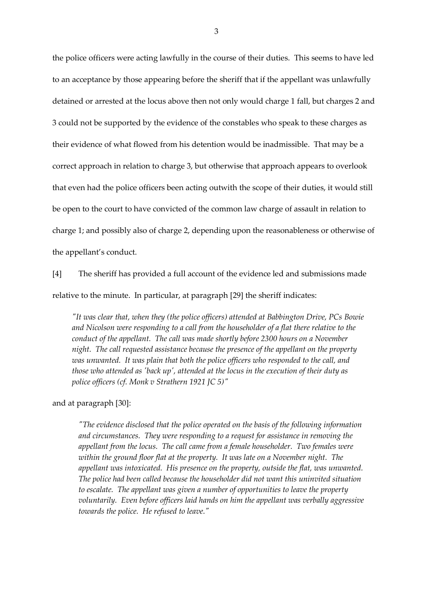the police officers were acting lawfully in the course of their duties. This seems to have led to an acceptance by those appearing before the sheriff that if the appellant was unlawfully detained or arrested at the locus above then not only would charge 1 fall, but charges 2 and 3 could not be supported by the evidence of the constables who speak to these charges as their evidence of what flowed from his detention would be inadmissible. That may be a correct approach in relation to charge 3, but otherwise that approach appears to overlook that even had the police officers been acting outwith the scope of their duties, it would still be open to the court to have convicted of the common law charge of assault in relation to charge 1; and possibly also of charge 2, depending upon the reasonableness or otherwise of the appellant's conduct.

[4] The sheriff has provided a full account of the evidence led and submissions made

relative to the minute. In particular, at paragraph [29] the sheriff indicates:

*"It was clear that, when they (the police officers) attended at Babbington Drive, PCs Bowie and Nicolson were responding to a call from the householder of a flat there relative to the conduct of the appellant. The call was made shortly before 2300 hours on a November night. The call requested assistance because the presence of the appellant on the property was unwanted. It was plain that both the police officers who responded to the call, and those who attended as 'back up', attended at the locus in the execution of their duty as police officers (cf. Monk v Strathern 1921 JC 5)"*

and at paragraph [30]:

*"The evidence disclosed that the police operated on the basis of the following information and circumstances. They were responding to a request for assistance in removing the appellant from the locus. The call came from a female householder. Two females were within the ground floor flat at the property. It was late on a November night. The appellant was intoxicated. His presence on the property, outside the flat, was unwanted. The police had been called because the householder did not want this uninvited situation to escalate. The appellant was given a number of opportunities to leave the property voluntarily. Even before officers laid hands on him the appellant was verbally aggressive towards the police. He refused to leave."*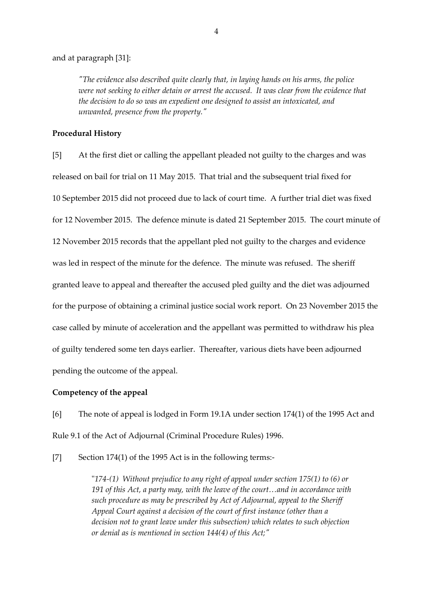#### and at paragraph [31]:

*"The evidence also described quite clearly that, in laying hands on his arms, the police were not seeking to either detain or arrest the accused. It was clear from the evidence that the decision to do so was an expedient one designed to assist an intoxicated, and unwanted, presence from the property."*

### **Procedural History**

[5] At the first diet or calling the appellant pleaded not guilty to the charges and was released on bail for trial on 11 May 2015. That trial and the subsequent trial fixed for 10 September 2015 did not proceed due to lack of court time. A further trial diet was fixed for 12 November 2015. The defence minute is dated 21 September 2015. The court minute of 12 November 2015 records that the appellant pled not guilty to the charges and evidence was led in respect of the minute for the defence. The minute was refused. The sheriff granted leave to appeal and thereafter the accused pled guilty and the diet was adjourned for the purpose of obtaining a criminal justice social work report. On 23 November 2015 the case called by minute of acceleration and the appellant was permitted to withdraw his plea of guilty tendered some ten days earlier. Thereafter, various diets have been adjourned pending the outcome of the appeal.

### **Competency of the appeal**

[6] The note of appeal is lodged in Form 19.1A under section 174(1) of the 1995 Act and Rule 9.1 of the Act of Adjournal (Criminal Procedure Rules) 1996.

[7] Section 174(1) of the 1995 Act is in the following terms:-

"*174-(1) Without prejudice to any right of appeal under section 175(1) to (6) or 191 of this Act, a party may, with the leave of the court…and in accordance with such procedure as may be prescribed by Act of Adjournal, appeal to the Sheriff Appeal Court against a decision of the court of first instance (other than a decision not to grant leave under this subsection) which relates to such objection or denial as is mentioned in section 144(4) of this Act;"*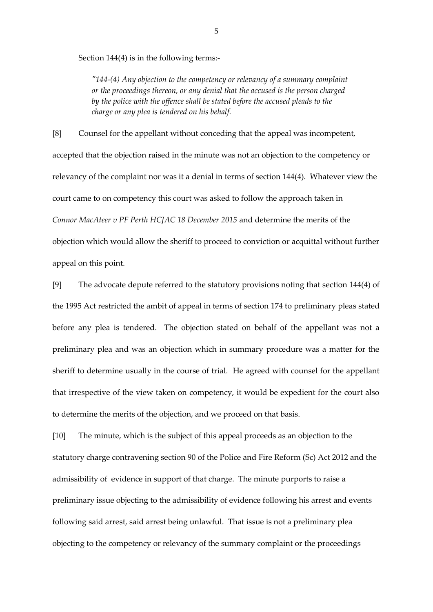Section 144(4) is in the following terms:-

*"144-(4) Any objection to the competency or relevancy of a summary complaint or the proceedings thereon, or any denial that the accused is the person charged by the police with the offence shall be stated before the accused pleads to the charge or any plea is tendered on his behalf.*

[8] Counsel for the appellant without conceding that the appeal was incompetent, accepted that the objection raised in the minute was not an objection to the competency or relevancy of the complaint nor was it a denial in terms of section 144(4). Whatever view the court came to on competency this court was asked to follow the approach taken in *Connor MacAteer v PF Perth HCJAC 18 December 2015* and determine the merits of the objection which would allow the sheriff to proceed to conviction or acquittal without further appeal on this point.

[9] The advocate depute referred to the statutory provisions noting that section 144(4) of the 1995 Act restricted the ambit of appeal in terms of section 174 to preliminary pleas stated before any plea is tendered. The objection stated on behalf of the appellant was not a preliminary plea and was an objection which in summary procedure was a matter for the sheriff to determine usually in the course of trial. He agreed with counsel for the appellant that irrespective of the view taken on competency, it would be expedient for the court also to determine the merits of the objection, and we proceed on that basis.

[10] The minute, which is the subject of this appeal proceeds as an objection to the statutory charge contravening section 90 of the Police and Fire Reform (Sc) Act 2012 and the admissibility of evidence in support of that charge. The minute purports to raise a preliminary issue objecting to the admissibility of evidence following his arrest and events following said arrest, said arrest being unlawful. That issue is not a preliminary plea objecting to the competency or relevancy of the summary complaint or the proceedings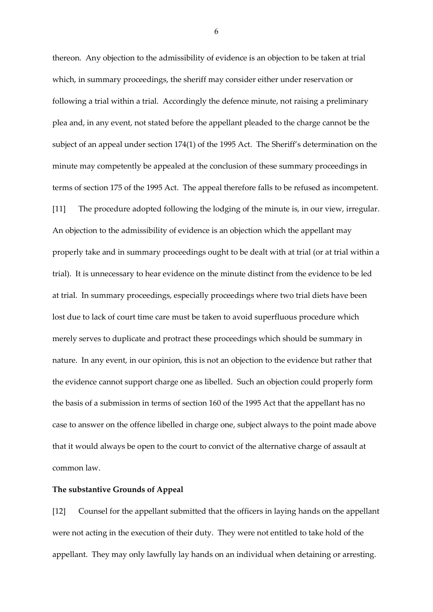thereon. Any objection to the admissibility of evidence is an objection to be taken at trial which, in summary proceedings, the sheriff may consider either under reservation or following a trial within a trial. Accordingly the defence minute, not raising a preliminary plea and, in any event, not stated before the appellant pleaded to the charge cannot be the subject of an appeal under section 174(1) of the 1995 Act. The Sheriff's determination on the minute may competently be appealed at the conclusion of these summary proceedings in terms of section 175 of the 1995 Act. The appeal therefore falls to be refused as incompetent. [11] The procedure adopted following the lodging of the minute is, in our view, irregular. An objection to the admissibility of evidence is an objection which the appellant may properly take and in summary proceedings ought to be dealt with at trial (or at trial within a trial). It is unnecessary to hear evidence on the minute distinct from the evidence to be led at trial. In summary proceedings, especially proceedings where two trial diets have been lost due to lack of court time care must be taken to avoid superfluous procedure which merely serves to duplicate and protract these proceedings which should be summary in nature. In any event, in our opinion, this is not an objection to the evidence but rather that the evidence cannot support charge one as libelled. Such an objection could properly form the basis of a submission in terms of section 160 of the 1995 Act that the appellant has no case to answer on the offence libelled in charge one, subject always to the point made above that it would always be open to the court to convict of the alternative charge of assault at common law.

#### **The substantive Grounds of Appeal**

[12] Counsel for the appellant submitted that the officers in laying hands on the appellant were not acting in the execution of their duty. They were not entitled to take hold of the appellant. They may only lawfully lay hands on an individual when detaining or arresting.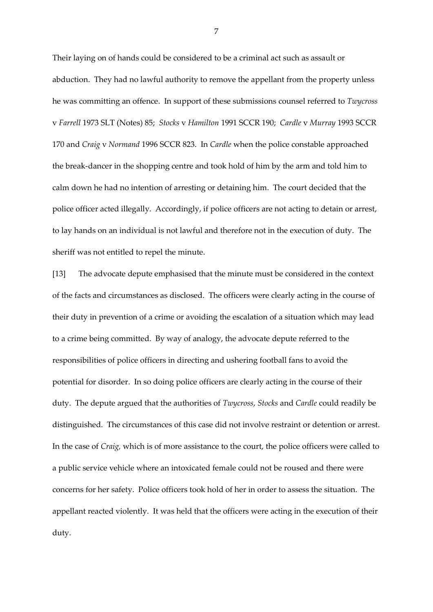Their laying on of hands could be considered to be a criminal act such as assault or abduction. They had no lawful authority to remove the appellant from the property unless he was committing an offence. In support of these submissions counsel referred to *Twycross* v *Farrell* 1973 SLT (Notes) 85; *Stocks* v *Hamilton* 1991 SCCR 190; *Cardle* v *Murray* 1993 SCCR 170 and *Craig* v *Normand* 1996 SCCR 823. In *Cardle* when the police constable approached the break-dancer in the shopping centre and took hold of him by the arm and told him to calm down he had no intention of arresting or detaining him. The court decided that the police officer acted illegally. Accordingly, if police officers are not acting to detain or arrest, to lay hands on an individual is not lawful and therefore not in the execution of duty. The sheriff was not entitled to repel the minute.

[13] The advocate depute emphasised that the minute must be considered in the context of the facts and circumstances as disclosed. The officers were clearly acting in the course of their duty in prevention of a crime or avoiding the escalation of a situation which may lead to a crime being committed. By way of analogy, the advocate depute referred to the responsibilities of police officers in directing and ushering football fans to avoid the potential for disorder. In so doing police officers are clearly acting in the course of their duty. The depute argued that the authorities of *Twycross*, *Stocks* and *Cardle* could readily be distinguished. The circumstances of this case did not involve restraint or detention or arrest. In the case of *Craig,* which is of more assistance to the court, the police officers were called to a public service vehicle where an intoxicated female could not be roused and there were concerns for her safety. Police officers took hold of her in order to assess the situation. The appellant reacted violently. It was held that the officers were acting in the execution of their duty.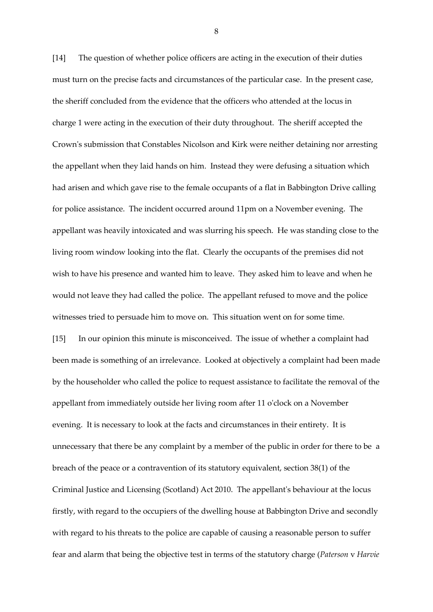[14] The question of whether police officers are acting in the execution of their duties must turn on the precise facts and circumstances of the particular case. In the present case, the sheriff concluded from the evidence that the officers who attended at the locus in charge 1 were acting in the execution of their duty throughout. The sheriff accepted the Crown's submission that Constables Nicolson and Kirk were neither detaining nor arresting the appellant when they laid hands on him. Instead they were defusing a situation which had arisen and which gave rise to the female occupants of a flat in Babbington Drive calling for police assistance. The incident occurred around 11pm on a November evening. The appellant was heavily intoxicated and was slurring his speech. He was standing close to the living room window looking into the flat. Clearly the occupants of the premises did not wish to have his presence and wanted him to leave. They asked him to leave and when he would not leave they had called the police. The appellant refused to move and the police witnesses tried to persuade him to move on. This situation went on for some time. [15] In our opinion this minute is misconceived. The issue of whether a complaint had been made is something of an irrelevance. Looked at objectively a complaint had been made by the householder who called the police to request assistance to facilitate the removal of the appellant from immediately outside her living room after 11 o'clock on a November evening. It is necessary to look at the facts and circumstances in their entirety. It is unnecessary that there be any complaint by a member of the public in order for there to be a breach of the peace or a contravention of its statutory equivalent, section 38(1) of the Criminal Justice and Licensing (Scotland) Act 2010. The appellant's behaviour at the locus firstly, with regard to the occupiers of the dwelling house at Babbington Drive and secondly with regard to his threats to the police are capable of causing a reasonable person to suffer fear and alarm that being the objective test in terms of the statutory charge (*Paterson* v *Harvie*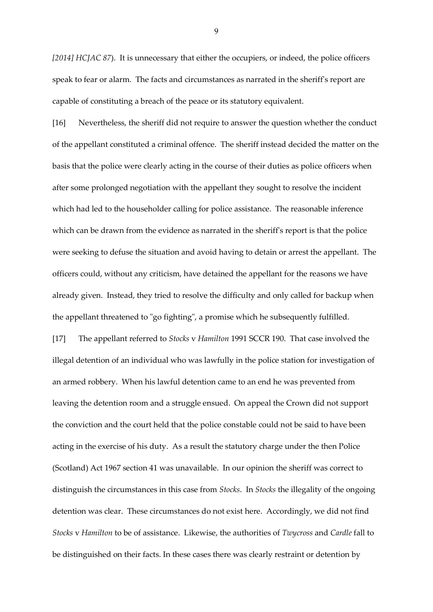*[2014] HCJAC 87*). It is unnecessary that either the occupiers, or indeed, the police officers speak to fear or alarm. The facts and circumstances as narrated in the sheriff's report are capable of constituting a breach of the peace or its statutory equivalent.

[16] Nevertheless, the sheriff did not require to answer the question whether the conduct of the appellant constituted a criminal offence. The sheriff instead decided the matter on the basis that the police were clearly acting in the course of their duties as police officers when after some prolonged negotiation with the appellant they sought to resolve the incident which had led to the householder calling for police assistance. The reasonable inference which can be drawn from the evidence as narrated in the sheriff's report is that the police were seeking to defuse the situation and avoid having to detain or arrest the appellant. The officers could, without any criticism, have detained the appellant for the reasons we have already given. Instead, they tried to resolve the difficulty and only called for backup when the appellant threatened to "go fighting", a promise which he subsequently fulfilled. [17] The appellant referred to *Stocks* v *Hamilton* 1991 SCCR 190. That case involved the illegal detention of an individual who was lawfully in the police station for investigation of an armed robbery. When his lawful detention came to an end he was prevented from leaving the detention room and a struggle ensued. On appeal the Crown did not support the conviction and the court held that the police constable could not be said to have been acting in the exercise of his duty. As a result the statutory charge under the then Police (Scotland) Act 1967 section 41 was unavailable. In our opinion the sheriff was correct to distinguish the circumstances in this case from *Stocks*. In *Stocks* the illegality of the ongoing detention was clear. These circumstances do not exist here. Accordingly, we did not find *Stocks* v *Hamilton* to be of assistance. Likewise, the authorities of *Twycross* and *Cardle* fall to be distinguished on their facts. In these cases there was clearly restraint or detention by